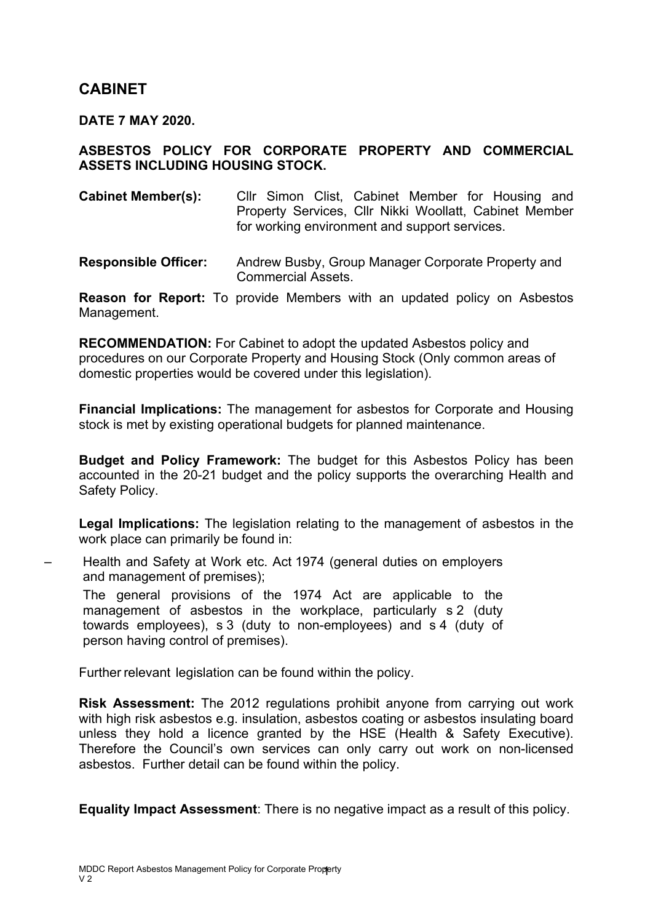# **CABINET**

**DATE 7 MAY 2020.**

#### **ASBESTOS POLICY FOR CORPORATE PROPERTY AND COMMERCIAL ASSETS INCLUDING HOUSING STOCK.**

**Cabinet Member(s):** Cllr Simon Clist, Cabinet Member for Housing and Property Services, Cllr Nikki Woollatt, Cabinet Member for working environment and support services.

**Responsible Officer:** Andrew Busby, Group Manager Corporate Property and Commercial Assets.

**Reason for Report:** To provide Members with an updated policy on Asbestos Management.

**RECOMMENDATION:** For Cabinet to adopt the updated Asbestos policy and procedures on our Corporate Property and Housing Stock (Only common areas of domestic properties would be covered under this legislation).

**Financial Implications:** The management for asbestos for Corporate and Housing stock is met by existing operational budgets for planned maintenance.

**Budget and Policy Framework:** The budget for this Asbestos Policy has been accounted in the 20-21 budget and the policy supports the overarching Health and Safety Policy.

**Legal Implications:** The legislation relating to the management of asbestos in the work place can primarily be found in:

– Health and Safety at Work etc. Act 1974 (general duties on employers and management of premises);

The general provisions of the 1974 Act are applicable to the management of asbestos in the workplace, particularly s 2 (duty towards employees), s 3 (duty to non-employees) and s 4 (duty of person having control of premises).

Further relevant legislation can be found within the policy.

**Risk Assessment:** The 2012 regulations prohibit anyone from carrying out work with high risk asbestos e.g. insulation, asbestos coating or asbestos insulating board unless they hold a licence granted by the HSE (Health & Safety Executive). Therefore the Council's own services can only carry out work on non-licensed asbestos. Further detail can be found within the policy.

**Equality Impact Assessment**: There is no negative impact as a result of this policy.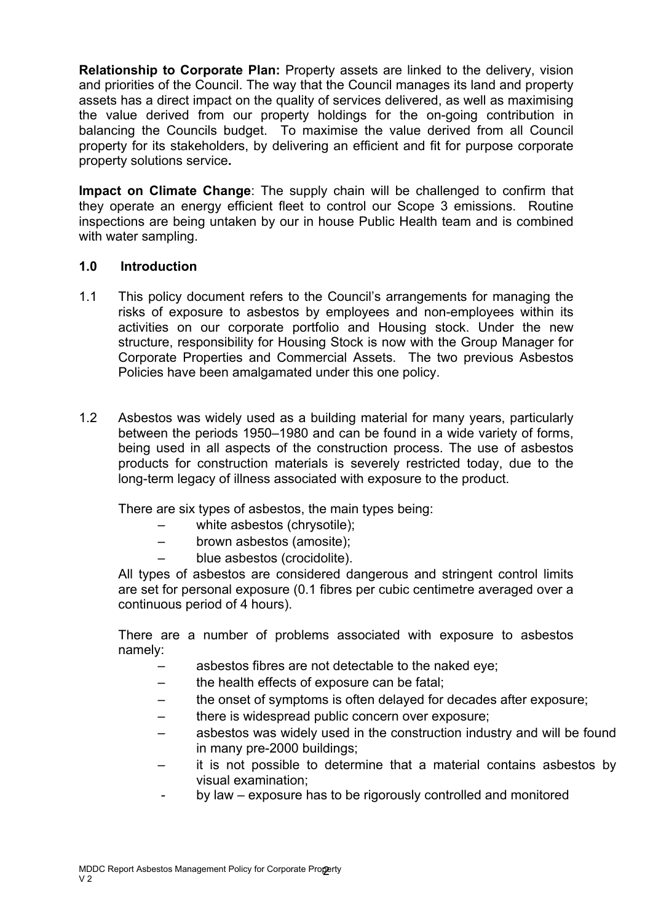**Relationship to Corporate Plan:** Property assets are linked to the delivery, vision and priorities of the Council. The way that the Council manages its land and property assets has a direct impact on the quality of services delivered, as well as maximising the value derived from our property holdings for the on-going contribution in balancing the Councils budget. To maximise the value derived from all Council property for its stakeholders, by delivering an efficient and fit for purpose corporate property solutions service**.**

**Impact on Climate Change**: The supply chain will be challenged to confirm that they operate an energy efficient fleet to control our Scope 3 emissions. Routine inspections are being untaken by our in house Public Health team and is combined with water sampling.

#### **1.0 Introduction**

- 1.1 This policy document refers to the Council's arrangements for managing the risks of exposure to asbestos by employees and non-employees within its activities on our corporate portfolio and Housing stock. Under the new structure, responsibility for Housing Stock is now with the Group Manager for Corporate Properties and Commercial Assets. The two previous Asbestos Policies have been amalgamated under this one policy.
- 1.2 Asbestos was widely used as a building material for many years, particularly between the periods 1950–1980 and can be found in a wide variety of forms, being used in all aspects of the construction process. The use of asbestos products for construction materials is severely restricted today, due to the long-term legacy of illness associated with exposure to the product.

There are six types of asbestos, the main types being:

- white asbestos (chrysotile);
- brown asbestos (amosite);
- blue asbestos (crocidolite).

All types of asbestos are considered dangerous and stringent control limits are set for personal exposure (0.1 fibres per cubic centimetre averaged over a continuous period of 4 hours).

There are a number of problems associated with exposure to asbestos namely:

- asbestos fibres are not detectable to the naked eye;
- the health effects of exposure can be fatal;
- the onset of symptoms is often delayed for decades after exposure;
- there is widespread public concern over exposure;
- asbestos was widely used in the construction industry and will be found in many pre-2000 buildings;
- it is not possible to determine that a material contains asbestos by visual examination;
- by law – exposure has to be rigorously controlled and monitored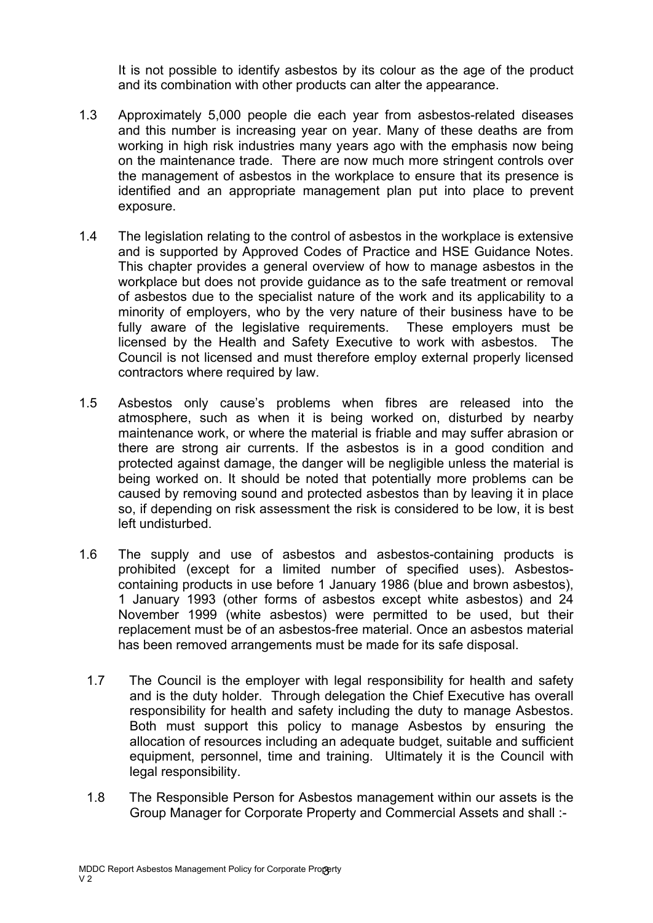It is not possible to identify asbestos by its colour as the age of the product and its combination with other products can alter the appearance.

- 1.3 Approximately 5,000 people die each year from asbestos-related diseases and this number is increasing year on year. Many of these deaths are from working in high risk industries many years ago with the emphasis now being on the maintenance trade. There are now much more stringent controls over the management of asbestos in the workplace to ensure that its presence is identified and an appropriate management plan put into place to prevent exposure.
- 1.4 The legislation relating to the control of asbestos in the workplace is extensive and is supported by Approved Codes of Practice and HSE Guidance Notes. This chapter provides a general overview of how to manage asbestos in the workplace but does not provide guidance as to the safe treatment or removal of asbestos due to the specialist nature of the work and its applicability to a minority of employers, who by the very nature of their business have to be fully aware of the legislative requirements. These employers must be licensed by the Health and Safety Executive to work with asbestos. The Council is not licensed and must therefore employ external properly licensed contractors where required by law.
- 1.5 Asbestos only cause's problems when fibres are released into the atmosphere, such as when it is being worked on, disturbed by nearby maintenance work, or where the material is friable and may suffer abrasion or there are strong air currents. If the asbestos is in a good condition and protected against damage, the danger will be negligible unless the material is being worked on. It should be noted that potentially more problems can be caused by removing sound and protected asbestos than by leaving it in place so, if depending on risk assessment the risk is considered to be low, it is best left undisturbed.
- 1.6 The supply and use of asbestos and asbestos-containing products is prohibited (except for a limited number of specified uses). Asbestoscontaining products in use before 1 January 1986 (blue and brown asbestos), 1 January 1993 (other forms of asbestos except white asbestos) and 24 November 1999 (white asbestos) were permitted to be used, but their replacement must be of an asbestos-free material. Once an asbestos material has been removed arrangements must be made for its safe disposal.
	- 1.7 The Council is the employer with legal responsibility for health and safety and is the duty holder. Through delegation the Chief Executive has overall responsibility for health and safety including the duty to manage Asbestos. Both must support this policy to manage Asbestos by ensuring the allocation of resources including an adequate budget, suitable and sufficient equipment, personnel, time and training. Ultimately it is the Council with legal responsibility.
	- 1.8 The Responsible Person for Asbestos management within our assets is the Group Manager for Corporate Property and Commercial Assets and shall :-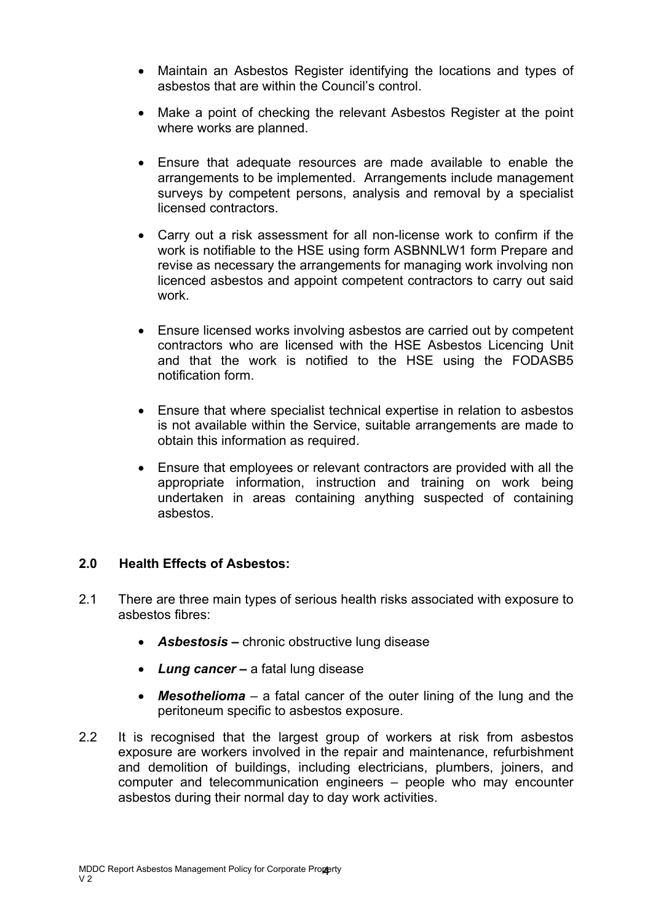- Maintain an Asbestos Register identifying the locations and types of asbestos that are within the Council's control.
- Make a point of checking the relevant Asbestos Register at the point where works are planned.
- Ensure that adequate resources are made available to enable the arrangements to be implemented. Arrangements include management surveys by competent persons, analysis and removal by a specialist licensed contractors.
- Carry out a risk assessment for all non-license work to confirm if the work is notifiable to the HSE using form ASBNNLW1 form Prepare and revise as necessary the arrangements for managing work involving non licenced asbestos and appoint competent contractors to carry out said work.
- Ensure licensed works involving asbestos are carried out by competent contractors who are licensed with the HSE Asbestos Licencing Unit and that the work is notified to the HSE using the FODASB5 notification form.
- Ensure that where specialist technical expertise in relation to asbestos is not available within the Service, suitable arrangements are made to obtain this information as required.
- Ensure that employees or relevant contractors are provided with all the appropriate information, instruction and training on work being undertaken in areas containing anything suspected of containing asbestos.

## **2.0 Health Effects of Asbestos:**

- 2.1 There are three main types of serious health risks associated with exposure to asbestos fibres:
	- *Asbestosis* **–** chronic obstructive lung disease
	- *Lung cancer* **–** a fatal lung disease
	- *Mesothelioma* a fatal cancer of the outer lining of the lung and the peritoneum specific to asbestos exposure.
- 2.2 It is recognised that the largest group of workers at risk from asbestos exposure are workers involved in the repair and maintenance, refurbishment and demolition of buildings, including electricians, plumbers, joiners, and computer and telecommunication engineers – people who may encounter asbestos during their normal day to day work activities.